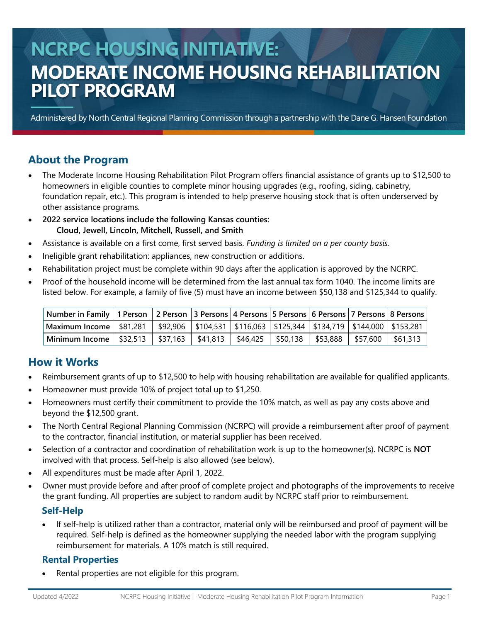## **NCRPC HOUSING INITIATIVE: MODERATE INCOME HOUSING REHABILITATION PILOT PROGRAM**

Administered by North Central Regional Planning Commission through a partnership with the Dane G. Hansen Foundation

### **About the Program**

- The Moderate Income Housing Rehabilitation Pilot Program offers financial assistance of grants up to \$12,500 to homeowners in eligible counties to complete minor housing upgrades (e.g., roofing, siding, cabinetry, foundation repair, etc.). This program is intended to help preserve housing stock that is often underserved by other assistance programs.
- **2022 service locations include the following Kansas counties: Cloud, Jewell, Lincoln, Mitchell, Russell, and Smith**
- Assistance is available on a first come, first served basis. *Funding is limited on a per county basis.*
- Ineligible grant rehabilitation: appliances, new construction or additions.
- Rehabilitation project must be complete within 90 days after the application is approved by the NCRPC.
- Proof of the household income will be determined from the last annual tax form 1040. The income limits are listed below. For example, a family of five (5) must have an income between \$50,138 and \$125,344 to qualify.

| Number in Family   1 Person   2 Person  3 Persons  4 Persons  5 Persons  6 Persons  7 Persons  8 Persons     |  |  |                                           |  |
|--------------------------------------------------------------------------------------------------------------|--|--|-------------------------------------------|--|
| Maximum Income   \$81,281   \$92,906   \$104,531   \$116,063   \$125,344   \$134,719   \$144,000   \$153,281 |  |  |                                           |  |
| Minimum Income   \$32,513   \$37,163   \$41,813   \$46,425                                                   |  |  | \$50,138   \$53,888   \$57,600   \$61,313 |  |

### **How it Works**

- Reimbursement grants of up to \$12,500 to help with housing rehabilitation are available for qualified applicants.
- Homeowner must provide 10% of project total up to \$1,250.
- Homeowners must certify their commitment to provide the 10% match, as well as pay any costs above and beyond the \$12,500 grant.
- The North Central Regional Planning Commission (NCRPC) will provide a reimbursement after proof of payment to the contractor, financial institution, or material supplier has been received.
- Selection of a contractor and coordination of rehabilitation work is up to the homeowner(s). NCRPC is **NOT**  involved with that process. Self-help is also allowed (see below).
- All expenditures must be made after April 1, 2022.
- Owner must provide before and after proof of complete project and photographs of the improvements to receive the grant funding. All properties are subject to random audit by NCRPC staff prior to reimbursement.

#### **Self-Help**

• If self-help is utilized rather than a contractor, material only will be reimbursed and proof of payment will be required. Self-help is defined as the homeowner supplying the needed labor with the program supplying reimbursement for materials. A 10% match is still required.

#### **Rental Properties**

Rental properties are not eligible for this program.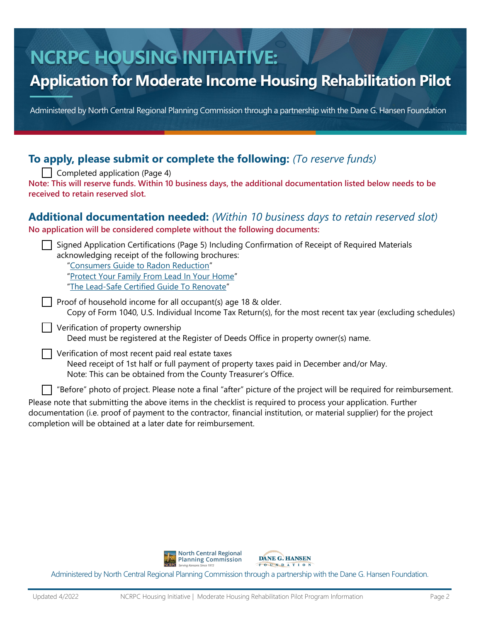# **NCRPC HOUSING INITIATIVE:**

## **Application for Moderate Income Housing Rehabilitation Pilot**

Administered by North Central Regional Planning Commission through a partnership with the Dane G. Hansen Foundation

### **To apply, please submit or complete the following:** *(To reserve funds)*

 $\vert \ \vert$  Completed application (Page 4) **Note: This will reserve funds. Within 10 business days, the additional documentation listed below needs to be received to retain reserved slot.** 

#### **Additional documentation needed:** *(Within 10 business days to retain reserved slot)*

**No application will be considered complete without the following documents:**

| Signed Application Certifications (Page 5) Including Confirmation of Receipt of Required Materials<br>acknowledging receipt of the following brochures:<br>"Consumers Guide to Radon Reduction" |
|-------------------------------------------------------------------------------------------------------------------------------------------------------------------------------------------------|
| "Protect Your Family From Lead In Your Home"<br>"The Lead-Safe Certified Guide To Renovate"                                                                                                     |
| Proof of household income for all occupant(s) age 18 & older.<br>Copy of Form 1040, U.S. Individual Income Tax Return(s), for the most recent tax year (excluding schedules)                    |
| Verification of property ownership<br>Deed must be registered at the Register of Deeds Office in property owner(s) name.                                                                        |
| Verification of most recent paid real estate taxes<br>البوار فالمواط ومعاود ومطووعها وبالملحوظ ومسوا ويستويه وسيمته والمستوم البياري والمعاريات فالمراسات والمعار                               |

Need receipt of 1st half or full payment of property taxes paid in December and/or May. Note: This can be obtained from the County Treasurer's Office.

"Before" photo of project. Please note a final "after" picture of the project will be required for reimbursement.

Please note that submitting the above items in the checklist is required to process your application. Further documentation (i.e. proof of payment to the contractor, financial institution, or material supplier) for the project completion will be obtained at a later date for reimbursement.

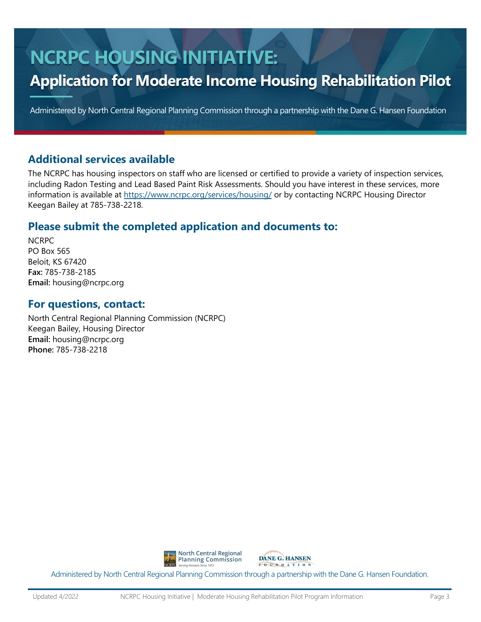# **NCRPC HOUSING INITIATIVE:**

## **Application for Moderate Income Housing Rehabilitation Pilot**

Administered by North Central Regional Planning Commission through a partnership with the Dane G. Hansen Foundation

### **Additional services available**

The NCRPC has housing inspectors on staff who are licensed or certified to provide a variety of inspection services, including Radon Testing and Lead Based Paint Risk Assessments. Should you have interest in these services, more information is available at <https://www.ncrpc.org/services/housing/> or by contacting NCRPC Housing Director Keegan Bailey at 785-738-2218.

### **Please submit the completed application and documents to:**

NCRPC PO Box 565 Beloit, KS 67420 **Fax:** 785-738-2185 **Email:** housing@ncrpc.org

#### **For questions, contact:**

North Central Regional Planning Commission (NCRPC) Keegan Bailey, Housing Director **Email:** housing@ncrpc.org **Phone:** 785-738-2218

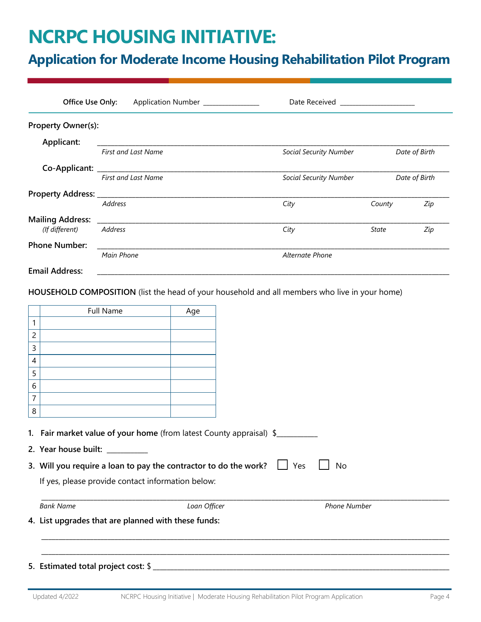## **NCRPC HOUSING INITIATIVE:**

### **Application for Moderate Income Housing Rehabilitation Pilot Program**

| Office Use Only:          | Application Number ______________                               | Date Received _______________________ |               |
|---------------------------|-----------------------------------------------------------------|---------------------------------------|---------------|
| <b>Property Owner(s):</b> |                                                                 |                                       |               |
| Applicant:                |                                                                 |                                       |               |
|                           | <b>First and Last Name</b>                                      | <b>Social Security Number</b>         | Date of Birth |
|                           | Co-Applicant: ___________________<br><b>First and Last Name</b> | <b>Social Security Number</b>         | Date of Birth |
|                           |                                                                 |                                       |               |
|                           | <b>Address</b>                                                  | City                                  | Zip<br>County |
| <b>Mailing Address:</b>   |                                                                 |                                       |               |
| (If different)            | <b>Address</b>                                                  | City                                  | Zip<br>State  |
| <b>Phone Number:</b>      |                                                                 |                                       |               |
|                           | Main Phone                                                      | <b>Alternate Phone</b>                |               |
| <b>Email Address:</b>     |                                                                 |                                       |               |

**HOUSEHOLD COMPOSITION** (list the head of your household and all members who live in your home)

|   | Full Name                                                                                                                                                                             | Age          |                     |
|---|---------------------------------------------------------------------------------------------------------------------------------------------------------------------------------------|--------------|---------------------|
| 1 |                                                                                                                                                                                       |              |                     |
| 2 |                                                                                                                                                                                       |              |                     |
| 3 |                                                                                                                                                                                       |              |                     |
| 4 |                                                                                                                                                                                       |              |                     |
| 5 |                                                                                                                                                                                       |              |                     |
| 6 |                                                                                                                                                                                       |              |                     |
| 7 |                                                                                                                                                                                       |              |                     |
| 8 |                                                                                                                                                                                       |              |                     |
|   | 1. Fair market value of your home (from latest County appraisal) \$<br>2. Year house built: __________<br>3. Will you require a loan to pay the contractor to do the work? $\Box$ Yes |              | <b>No</b>           |
|   | If yes, please provide contact information below:                                                                                                                                     |              |                     |
|   | <b>Bank Name</b>                                                                                                                                                                      | Loan Officer | <b>Phone Number</b> |
|   | 4. List upgrades that are planned with these funds:                                                                                                                                   |              |                     |
|   |                                                                                                                                                                                       |              |                     |
|   |                                                                                                                                                                                       |              |                     |
|   | 5. Estimated total project cost: \$                                                                                                                                                   |              |                     |
|   |                                                                                                                                                                                       |              |                     |